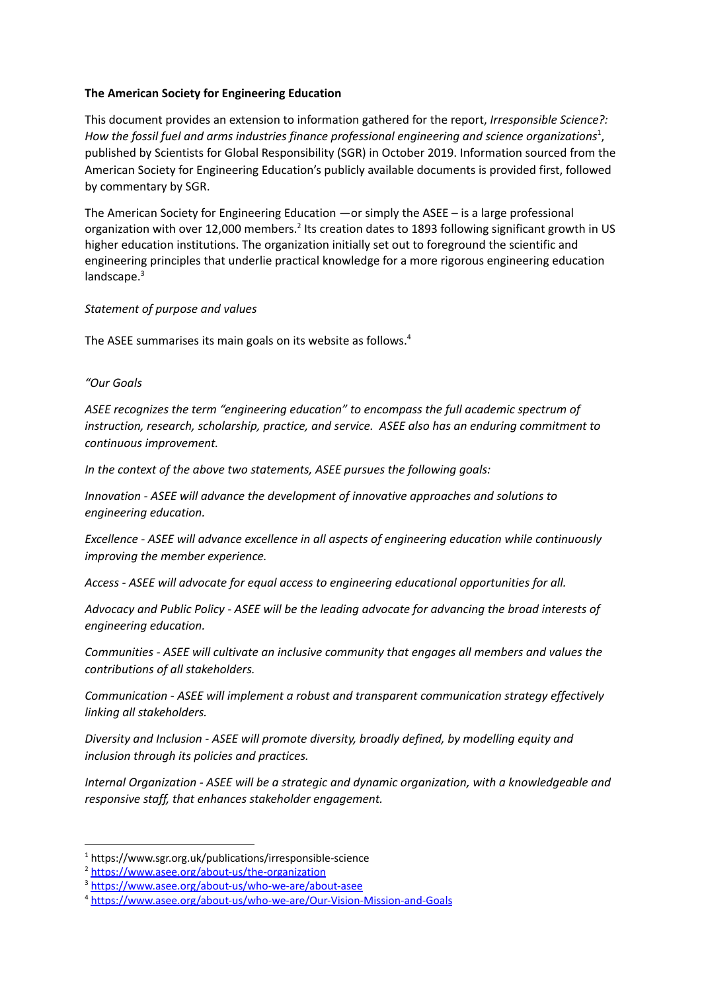### **The American Society for Engineering Education**

This document provides an extension to information gathered for the report, *Irresponsible Science?: How the fossil fuel and arms industries finance professional engineering and science organizations* , 1 published by Scientists for Global Responsibility (SGR) in October 2019. Information sourced from the American Society for Engineering Education's publicly available documents is provided first, followed by commentary by SGR.

The American Society for Engineering Education —or simply the ASEE – is a large professional organization with over 12,000 members.<sup>2</sup> Its creation dates to 1893 following significant growth in US higher education institutions. The organization initially set out to foreground the scientific and engineering principles that underlie practical knowledge for a more rigorous engineering education landscape.<sup>3</sup>

## *Statement of purpose and values*

The ASEE summarises its main goals on its website as follows.<sup>4</sup>

## *"Our Goals*

*ASEE recognizes the term "engineering education" to encompass the full academic spectrum of instruction, research, scholarship, practice, and service. ASEE also has an enduring commitment to continuous improvement.*

*In the context of the above two statements, ASEE pursues the following goals:*

*Innovation - ASEE will advance the development of innovative approaches and solutions to engineering education.*

*Excellence - ASEE will advance excellence in all aspects of engineering education while continuously improving the member experience.*

*Access - ASEE will advocate for equal access to engineering educational opportunities for all.*

*Advocacy and Public Policy - ASEE will be the leading advocate for advancing the broad interests of engineering education.*

*Communities - ASEE will cultivate an inclusive community that engages all members and values the contributions of all stakeholders.*

*Communication - ASEE will implement a robust and transparent communication strategy effectively linking all stakeholders.*

*Diversity and Inclusion - ASEE will promote diversity, broadly defined, by modelling equity and inclusion through its policies and practices.*

*Internal Organization - ASEE will be a strategic and dynamic organization, with a knowledgeable and responsive staff, that enhances stakeholder engagement.*

<sup>1</sup> <https://www.sgr.org.uk/publications/irresponsible-science>

<sup>2</sup> <https://www.asee.org/about-us/the-organization>

<sup>&</sup>lt;sup>3</sup> <https://www.asee.org/about-us/who-we-are/about-asee>

<sup>4</sup> <https://www.asee.org/about-us/who-we-are/Our-Vision-Mission-and-Goals>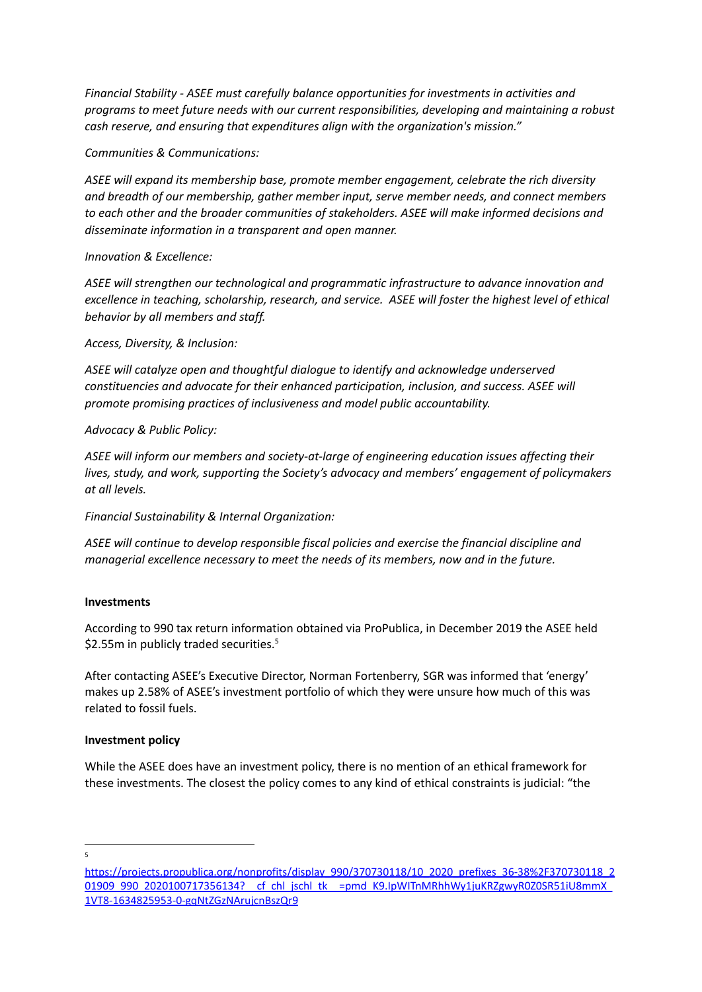*Financial Stability - ASEE must carefully balance opportunities for investments in activities and programs to meet future needs with our current responsibilities, developing and maintaining a robust cash reserve, and ensuring that expenditures align with the organization's mission."*

## *Communities & Communications:*

*ASEE will expand its membership base, promote member engagement, celebrate the rich diversity and breadth of our membership, gather member input, serve member needs, and connect members to each other and the broader communities of stakeholders. ASEE will make informed decisions and disseminate information in a transparent and open manner.*

## *Innovation & Excellence:*

*ASEE will strengthen our technological and programmatic infrastructure to advance innovation and excellence in teaching, scholarship, research, and service. ASEE will foster the highest level of ethical behavior by all members and staff.*

*Access, Diversity, & Inclusion:*

*ASEE will catalyze open and thoughtful dialogue to identify and acknowledge underserved constituencies and advocate for their enhanced participation, inclusion, and success. ASEE will promote promising practices of inclusiveness and model public accountability.*

*Advocacy & Public Policy:*

*ASEE will inform our members and society-at-large of engineering education issues affecting their lives, study, and work, supporting the Society's advocacy and members' engagement of policymakers at all levels.*

*Financial Sustainability & Internal Organization:*

*ASEE will continue to develop responsible fiscal policies and exercise the financial discipline and managerial excellence necessary to meet the needs of its members, now and in the future.*

#### **Investments**

According to 990 tax return information obtained via ProPublica, in December 2019 the ASEE held \$2.55m in publicly traded securities.<sup>5</sup>

After contacting ASEE's Executive Director, Norman Fortenberry, SGR was informed that 'energy' makes up 2.58% of ASEE's investment portfolio of which they were unsure how much of this was related to fossil fuels.

# **Investment policy**

While the ASEE does have an investment policy, there is no mention of an ethical framework for these investments. The closest the policy comes to any kind of ethical constraints is judicial: "the

5

[https://projects.propublica.org/nonprofits/display\\_990/370730118/10\\_2020\\_prefixes\\_36-38%2F370730118\\_2](https://projects.propublica.org/nonprofits/display_990/370730118/10_2020_prefixes_36-38%2F370730118_201909_990_2020100717356134?__cf_chl_jschl_tk__=pmd_K9.IpWITnMRhhWy1juKRZgwyR0Z0SR51iU8mmX_1VT8-1634825953-0-gqNtZGzNArujcnBszQr9) 01909\_990\_2020100717356134?\_\_cf\_chl\_jschl\_tk\_\_=pmd\_K9.IpWITnMRhhWy1juKRZgwyR0Z0SR51iU8mmX [1VT8-1634825953-0-gqNtZGzNArujcnBszQr9](https://projects.propublica.org/nonprofits/display_990/370730118/10_2020_prefixes_36-38%2F370730118_201909_990_2020100717356134?__cf_chl_jschl_tk__=pmd_K9.IpWITnMRhhWy1juKRZgwyR0Z0SR51iU8mmX_1VT8-1634825953-0-gqNtZGzNArujcnBszQr9)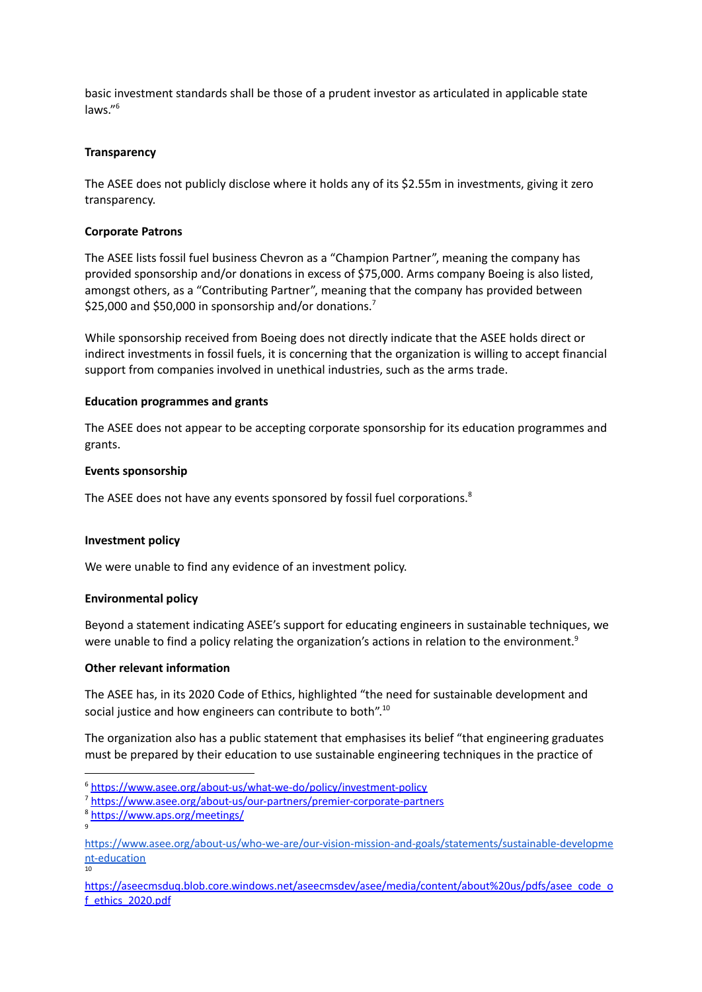basic investment standards shall be those of a prudent investor as articulated in applicable state laws." 6

#### **Transparency**

The ASEE does not publicly disclose where it holds any of its \$2.55m in investments, giving it zero transparency.

### **Corporate Patrons**

The ASEE lists fossil fuel business Chevron as a "Champion Partner", meaning the company has provided sponsorship and/or donations in excess of \$75,000. Arms company Boeing is also listed, amongst others, as a "Contributing Partner", meaning that the company has provided between \$25,000 and \$50,000 in sponsorship and/or donations.<sup>7</sup>

While sponsorship received from Boeing does not directly indicate that the ASEE holds direct or indirect investments in fossil fuels, it is concerning that the organization is willing to accept financial support from companies involved in unethical industries, such as the arms trade.

## **Education programmes and grants**

The ASEE does not appear to be accepting corporate sponsorship for its education programmes and grants.

#### **Events sponsorship**

The ASEE does not have any events sponsored by fossil fuel corporations.<sup>8</sup>

#### **Investment policy**

We were unable to find any evidence of an investment policy.

# **Environmental policy**

Beyond a statement indicating ASEE's support for educating engineers in sustainable techniques, we were unable to find a policy relating the organization's actions in relation to the environment.<sup>9</sup>

#### **Other relevant information**

The ASEE has, in its 2020 Code of Ethics, highlighted "the need for sustainable development and social justice and how engineers can contribute to both".<sup>10</sup>

The organization also has a public statement that emphasises its belief "that engineering graduates must be prepared by their education to use sustainable engineering techniques in the practice of

<sup>6</sup> <https://www.asee.org/about-us/what-we-do/policy/investment-policy>

<sup>7</sup> <https://www.asee.org/about-us/our-partners/premier-corporate-partners>

<sup>9</sup> <sup>8</sup> <https://www.aps.org/meetings/>

<sup>10</sup> [https://www.asee.org/about-us/who-we-are/our-vision-mission-and-goals/statements/sustainable-developme](https://www.asee.org/about-us/who-we-are/our-vision-mission-and-goals/statements/sustainable-development-education) [nt-education](https://www.asee.org/about-us/who-we-are/our-vision-mission-and-goals/statements/sustainable-development-education)

[https://aseecmsduq.blob.core.windows.net/aseecmsdev/asee/media/content/about%20us/pdfs/asee\\_code\\_o](https://aseecmsduq.blob.core.windows.net/aseecmsdev/asee/media/content/about%20us/pdfs/asee_code_of_ethics_2020.pdf) [f\\_ethics\\_2020.pdf](https://aseecmsduq.blob.core.windows.net/aseecmsdev/asee/media/content/about%20us/pdfs/asee_code_of_ethics_2020.pdf)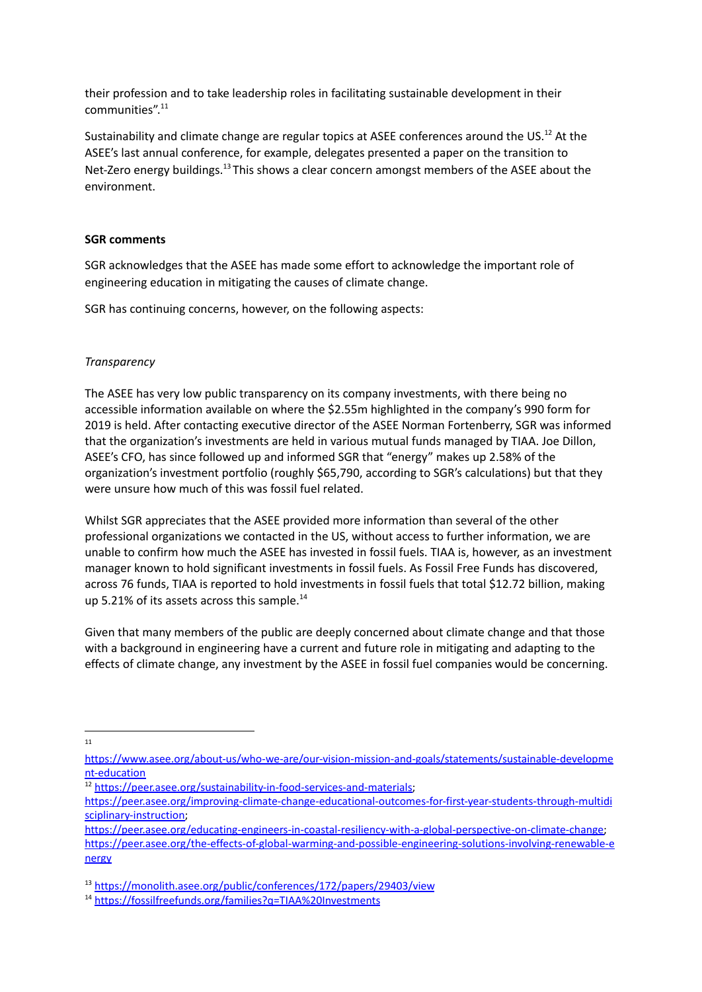their profession and to take leadership roles in facilitating sustainable development in their communities". 11

Sustainability and climate change are regular topics at ASEE conferences around the US.<sup>12</sup> At the ASEE's last annual conference, for example, delegates presented a paper on the transition to Net-Zero energy buildings.<sup>13</sup> This shows a clear concern amongst members of the ASEE about the environment.

#### **SGR comments**

SGR acknowledges that the ASEE has made some effort to acknowledge the important role of engineering education in mitigating the causes of climate change.

SGR has continuing concerns, however, on the following aspects:

## *Transparency*

The ASEE has very low public transparency on its company investments, with there being no accessible information available on where the \$2.55m highlighted in the company's 990 form for 2019 is held. After contacting executive director of the ASEE Norman Fortenberry, SGR was informed that the organization's investments are held in various mutual funds managed by TIAA. Joe Dillon, ASEE's CFO, has since followed up and informed SGR that "energy" makes up 2.58% of the organization's investment portfolio (roughly \$65,790, according to SGR's calculations) but that they were unsure how much of this was fossil fuel related.

Whilst SGR appreciates that the ASEE provided more information than several of the other professional organizations we contacted in the US, without access to further information, we are unable to confirm how much the ASEE has invested in fossil fuels. TIAA is, however, as an investment manager known to hold significant investments in fossil fuels. As Fossil Free Funds has discovered, across 76 funds, TIAA is reported to hold investments in fossil fuels that total \$12.72 billion, making up 5.21% of its assets across this sample.<sup>14</sup>

Given that many members of the public are deeply concerned about climate change and that those with a background in engineering have a current and future role in mitigating and adapting to the effects of climate change, any investment by the ASEE in fossil fuel companies would be concerning.

11

[https://www.asee.org/about-us/who-we-are/our-vision-mission-and-goals/statements/sustainable-developme](https://www.asee.org/about-us/who-we-are/our-vision-mission-and-goals/statements/sustainable-development-education) [nt-education](https://www.asee.org/about-us/who-we-are/our-vision-mission-and-goals/statements/sustainable-development-education)

<sup>12</sup> <https://peer.asee.org/sustainability-in-food-services-and-materials>;

[https://peer.asee.org/improving-climate-change-educational-outcomes-for-first-year-students-through-multidi](https://peer.asee.org/improving-climate-change-educational-outcomes-for-first-year-students-through-multidisciplinary-instruction) [sciplinary-instruction](https://peer.asee.org/improving-climate-change-educational-outcomes-for-first-year-students-through-multidisciplinary-instruction);

[https://peer.asee.org/educating-engineers-in-coastal-resiliency-with-a-global-perspective-on-climate-change;](https://peer.asee.org/educating-engineers-in-coastal-resiliency-with-a-global-perspective-on-climate-change) [https://peer.asee.org/the-effects-of-global-warming-and-possible-engineering-solutions-involving-renewable-e](https://peer.asee.org/the-effects-of-global-warming-and-possible-engineering-solutions-involving-renewable-energy) [nergy](https://peer.asee.org/the-effects-of-global-warming-and-possible-engineering-solutions-involving-renewable-energy)

<sup>13</sup> <https://monolith.asee.org/public/conferences/172/papers/29403/view>

<sup>14</sup> <https://fossilfreefunds.org/families?q=TIAA%20Investments>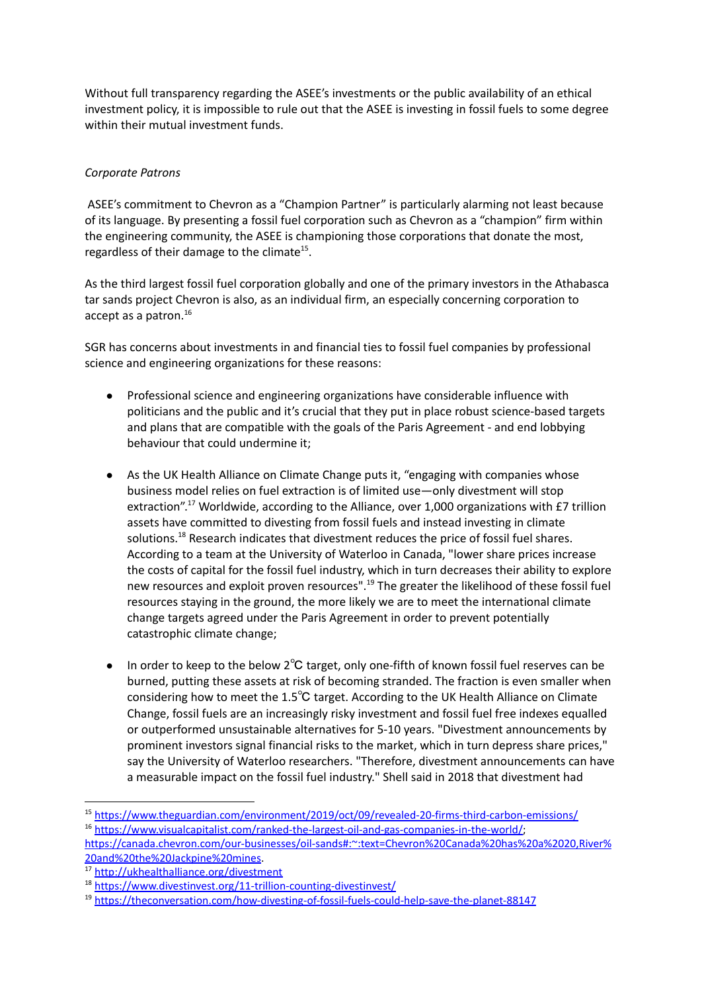Without full transparency regarding the ASEE's investments or the public availability of an ethical investment policy, it is impossible to rule out that the ASEE is investing in fossil fuels to some degree within their mutual investment funds.

# *Corporate Patrons*

ASEE's commitment to Chevron as a "Champion Partner" is particularly alarming not least because of its language. By presenting a fossil fuel corporation such as Chevron as a "champion" firm within the engineering community, the ASEE is championing those corporations that donate the most, regardless of their damage to the climate $^{15}$ .

As the third largest fossil fuel corporation globally and one of the primary investors in the Athabasca tar sands project Chevron is also, as an individual firm, an especially concerning corporation to accept as a patron. 16

SGR has concerns about investments in and financial ties to fossil fuel companies by professional science and engineering organizations for these reasons:

- Professional science and engineering organizations have considerable influence with politicians and the public and it's crucial that they put in place robust science-based targets and plans that are compatible with the goals of the Paris Agreement - and end lobbying behaviour that could undermine it;
- As the UK Health Alliance on Climate Change puts it, "engaging with companies whose business model relies on fuel extraction is of limited use—only divestment will stop extraction".<sup>17</sup> Worldwide, according to the Alliance, over 1,000 organizations with £7 trillion assets have committed to divesting from fossil fuels and instead investing in climate solutions.<sup>18</sup> Research indicates that divestment reduces the price of fossil fuel shares. According to a team at the University of Waterloo in Canada, "lower share prices increase the costs of capital for the fossil fuel industry, which in turn decreases their ability to explore new resources and exploit proven resources".<sup>19</sup> The greater the likelihood of these fossil fuel resources staying in the ground, the more likely we are to meet the international climate change targets agreed under the Paris Agreement in order to prevent potentially catastrophic climate change;
- In order to keep to the below 2℃ target, only one-fifth of known fossil fuel reserves can be burned, putting these assets at risk of becoming stranded. The fraction is even smaller when considering how to meet the 1.5℃ target. According to the UK Health [Alliance](http://ukhealthalliance.org/divestment) on Climate [Change](http://ukhealthalliance.org/divestment), fossil fuels are an increasingly risky investment and fossil fuel free indexes equalled or outperformed unsustainable alternatives for 5-10 years. "Divestment announcements by prominent investors signal financial risks to the market, which in turn depress share prices," say the University of Waterloo researchers. "Therefore, divestment announcements can have a measurable impact on the fossil fuel industry." Shell said in 2018 that divestment had

<sup>&</sup>lt;sup>16</sup> [https://www.visualcapitalist.com/ranked-the-largest-oil-and-gas-companies-in-the-world/;](https://www.visualcapitalist.com/ranked-the-largest-oil-and-gas-companies-in-the-world/) <sup>15</sup> <https://www.theguardian.com/environment/2019/oct/09/revealed-20-firms-third-carbon-emissions/>

[https://canada.chevron.com/our-businesses/oil-sands#:~:text=Chevron%20Canada%20has%20a%2020,River%](https://canada.chevron.com/our-businesses/oil-sands#:~:text=Chevron%20Canada%20has%20a%2020,River%20and%20the%20Jackpine%20mines) [20and%20the%20Jackpine%20mines.](https://canada.chevron.com/our-businesses/oil-sands#:~:text=Chevron%20Canada%20has%20a%2020,River%20and%20the%20Jackpine%20mines)

<sup>17</sup> <http://ukhealthalliance.org/divestment>

<sup>18</sup> <https://www.divestinvest.org/11-trillion-counting-divestinvest/>

<sup>19</sup> <https://theconversation.com/how-divesting-of-fossil-fuels-could-help-save-the-planet-88147>